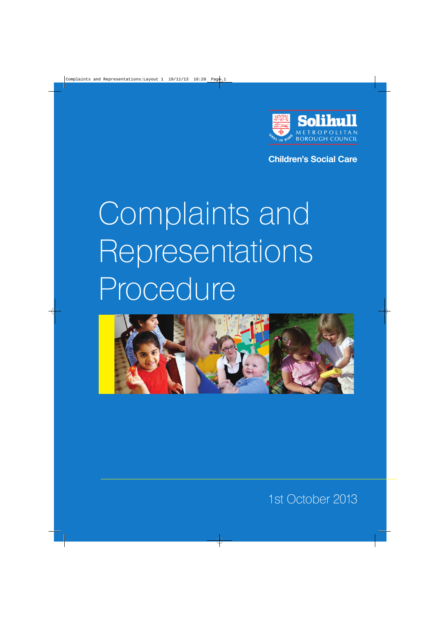

**Children's Social Care**

# Complaints and Representations Procedure



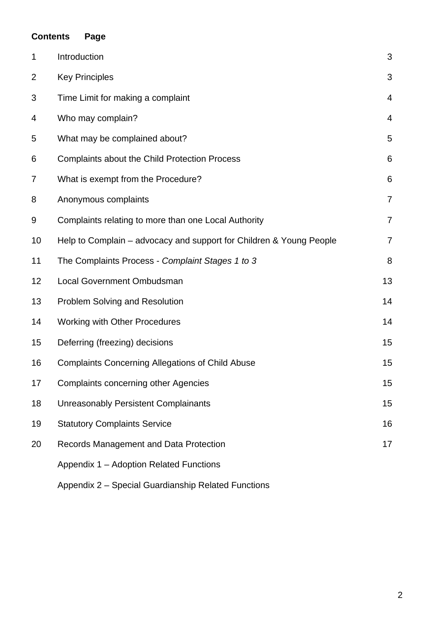|                | <b>Contents</b><br>Page                                             |                |
|----------------|---------------------------------------------------------------------|----------------|
| 1              | Introduction                                                        | 3              |
| $\overline{2}$ | <b>Key Principles</b>                                               |                |
| 3              | Time Limit for making a complaint                                   |                |
| 4              | Who may complain?                                                   |                |
| 5              | What may be complained about?                                       |                |
| 6              | Complaints about the Child Protection Process                       |                |
| 7              | What is exempt from the Procedure?                                  | 6              |
| 8              | Anonymous complaints                                                | $\overline{7}$ |
| 9              | Complaints relating to more than one Local Authority                | $\overline{7}$ |
| 10             | Help to Complain – advocacy and support for Children & Young People | $\overline{7}$ |
| 11             | The Complaints Process - Complaint Stages 1 to 3                    | 8              |
| 12             | <b>Local Government Ombudsman</b>                                   | 13             |
| 13             | <b>Problem Solving and Resolution</b>                               | 14             |
| 14             | <b>Working with Other Procedures</b>                                | 14             |
| 15             | Deferring (freezing) decisions                                      | 15             |
| 16             | <b>Complaints Concerning Allegations of Child Abuse</b>             | 15             |
| 17             | <b>Complaints concerning other Agencies</b>                         | 15             |
| 18             | <b>Unreasonably Persistent Complainants</b>                         | 15             |
| 19             | <b>Statutory Complaints Service</b>                                 | 16             |
| 20             | Records Management and Data Protection                              | 17             |
|                | Appendix 1 - Adoption Related Functions                             |                |
|                |                                                                     |                |

Appendix 2 – Special Guardianship Related Functions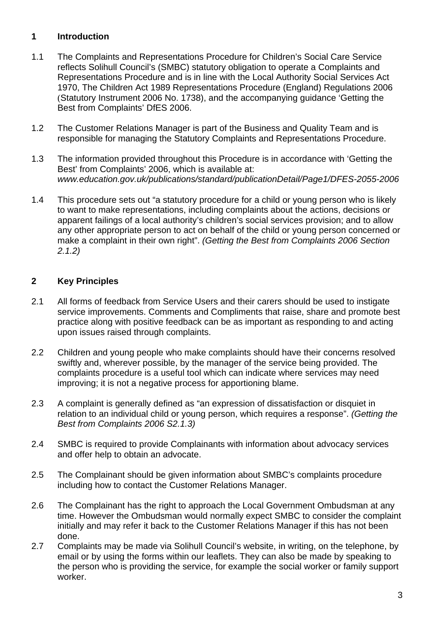## **1 Introduction**

- 1.1 The Complaints and Representations Procedure for Children's Social Care Service reflects Solihull Council's (SMBC) statutory obligation to operate a Complaints and Representations Procedure and is in line with the Local Authority Social Services Act 1970, The Children Act 1989 Representations Procedure (England) Regulations 2006 (Statutory Instrument 2006 No. 1738), and the accompanying guidance 'Getting the Best from Complaints' DfES 2006.
- 1.2 The Customer Relations Manager is part of the Business and Quality Team and is responsible for managing the Statutory Complaints and Representations Procedure.
- 1.3 The information provided throughout this Procedure is in accordance with 'Getting the Best' from Complaints' 2006, which is available at: *www.education.gov.uk/publications/standard/publicationDetail/Page1/DFES-2055-2006*
- 1.4 This procedure sets out "a statutory procedure for a child or young person who is likely to want to make representations, including complaints about the actions, decisions or apparent failings of a local authority's children's social services provision; and to allow any other appropriate person to act on behalf of the child or young person concerned or make a complaint in their own right". *(Getting the Best from Complaints 2006 Section 2.1.2)*

## **2 Key Principles**

- 2.1 All forms of feedback from Service Users and their carers should be used to instigate service improvements. Comments and Compliments that raise, share and promote best practice along with positive feedback can be as important as responding to and acting upon issues raised through complaints.
- 2.2 Children and young people who make complaints should have their concerns resolved swiftly and, wherever possible, by the manager of the service being provided. The complaints procedure is a useful tool which can indicate where services may need improving; it is not a negative process for apportioning blame.
- 2.3 A complaint is generally defined as "an expression of dissatisfaction or disquiet in relation to an individual child or young person, which requires a response". *(Getting the Best from Complaints 2006 S2.1.3)*
- 2.4 SMBC is required to provide Complainants with information about advocacy services and offer help to obtain an advocate.
- 2.5 The Complainant should be given information about SMBC's complaints procedure including how to contact the Customer Relations Manager.
- 2.6 The Complainant has the right to approach the Local Government Ombudsman at any time. However the Ombudsman would normally expect SMBC to consider the complaint initially and may refer it back to the Customer Relations Manager if this has not been done.
- 2.7 Complaints may be made via Solihull Council's website, in writing, on the telephone, by email or by using the forms within our leaflets. They can also be made by speaking to the person who is providing the service, for example the social worker or family support worker.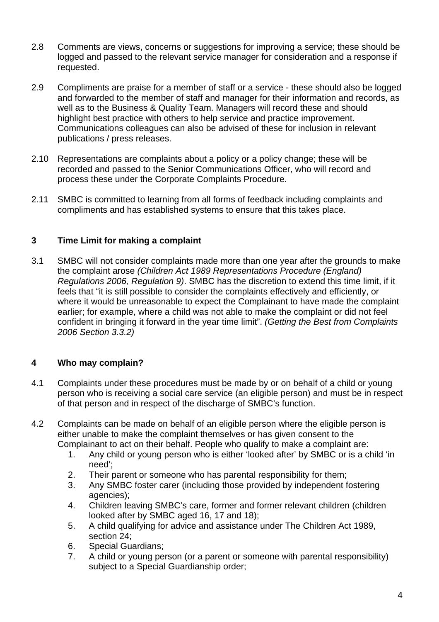- 2.8 Comments are views, concerns or suggestions for improving a service; these should be logged and passed to the relevant service manager for consideration and a response if requested.
- 2.9 Compliments are praise for a member of staff or a service these should also be logged and forwarded to the member of staff and manager for their information and records, as well as to the Business & Quality Team. Managers will record these and should highlight best practice with others to help service and practice improvement. Communications colleagues can also be advised of these for inclusion in relevant publications / press releases.
- 2.10 Representations are complaints about a policy or a policy change; these will be recorded and passed to the Senior Communications Officer, who will record and process these under the Corporate Complaints Procedure.
- 2.11 SMBC is committed to learning from all forms of feedback including complaints and compliments and has established systems to ensure that this takes place.

## **3 Time Limit for making a complaint**

3.1 SMBC will not consider complaints made more than one year after the grounds to make the complaint arose *(Children Act 1989 Representations Procedure (England) Regulations 2006, Regulation 9)*. SMBC has the discretion to extend this time limit, if it feels that "it is still possible to consider the complaints effectively and efficiently, or where it would be unreasonable to expect the Complainant to have made the complaint earlier; for example, where a child was not able to make the complaint or did not feel confident in bringing it forward in the year time limit". *(Getting the Best from Complaints 2006 Section 3.3.2)*

## **4 Who may complain?**

- 4.1 Complaints under these procedures must be made by or on behalf of a child or young person who is receiving a social care service (an eligible person) and must be in respect of that person and in respect of the discharge of SMBC's function.
- 4.2 Complaints can be made on behalf of an eligible person where the eligible person is either unable to make the complaint themselves or has given consent to the Complainant to act on their behalf. People who qualify to make a complaint are:
	- 1. Any child or young person who is either 'looked after' by SMBC or is a child 'in need';
	- 2. Their parent or someone who has parental responsibility for them;
	- 3. Any SMBC foster carer (including those provided by independent fostering agencies);
	- 4. Children leaving SMBC's care, former and former relevant children (children looked after by SMBC aged 16, 17 and 18);
	- 5. A child qualifying for advice and assistance under The Children Act 1989, section 24;
	- 6. Special Guardians;
	- 7. A child or young person (or a parent or someone with parental responsibility) subject to a Special Guardianship order;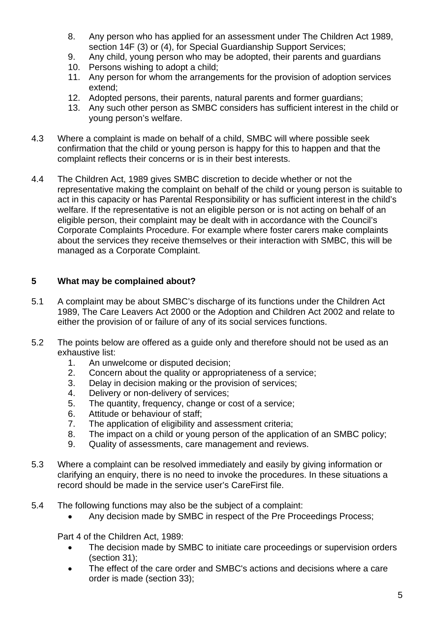- 8. Any person who has applied for an assessment under The Children Act 1989, section 14F (3) or (4), for Special Guardianship Support Services;
- 9. Any child, young person who may be adopted, their parents and guardians
- 10. Persons wishing to adopt a child;
- 11. Any person for whom the arrangements for the provision of adoption services extend;
- 12. Adopted persons, their parents, natural parents and former guardians;
- 13. Any such other person as SMBC considers has sufficient interest in the child or young person's welfare.
- 4.3 Where a complaint is made on behalf of a child, SMBC will where possible seek confirmation that the child or young person is happy for this to happen and that the complaint reflects their concerns or is in their best interests.
- 4.4 The Children Act, 1989 gives SMBC discretion to decide whether or not the representative making the complaint on behalf of the child or young person is suitable to act in this capacity or has Parental Responsibility or has sufficient interest in the child's welfare. If the representative is not an eligible person or is not acting on behalf of an eligible person, their complaint may be dealt with in accordance with the Council's Corporate Complaints Procedure. For example where foster carers make complaints about the services they receive themselves or their interaction with SMBC, this will be managed as a Corporate Complaint.

## **5 What may be complained about?**

- 5.1 A complaint may be about SMBC's discharge of its functions under the Children Act 1989, The Care Leavers Act 2000 or the Adoption and Children Act 2002 and relate to either the provision of or failure of any of its social services functions.
- 5.2 The points below are offered as a guide only and therefore should not be used as an exhaustive list:
	- 1. An unwelcome or disputed decision;
	- 2. Concern about the quality or appropriateness of a service;
	- 3. Delay in decision making or the provision of services;
	- 4. Delivery or non-delivery of services;
	- 5. The quantity, frequency, change or cost of a service;
	- 6. Attitude or behaviour of staff;
	- 7. The application of eligibility and assessment criteria;
	- 8. The impact on a child or young person of the application of an SMBC policy;
	- 9. Quality of assessments, care management and reviews.
- 5.3 Where a complaint can be resolved immediately and easily by giving information or clarifying an enquiry, there is no need to invoke the procedures. In these situations a record should be made in the service user's CareFirst file.
- 5.4 The following functions may also be the subject of a complaint:
	- Any decision made by SMBC in respect of the Pre Proceedings Process;

Part 4 of the Children Act, 1989:

- The decision made by SMBC to initiate care proceedings or supervision orders (section 31);
- The effect of the care order and SMBC's actions and decisions where a care order is made (section 33);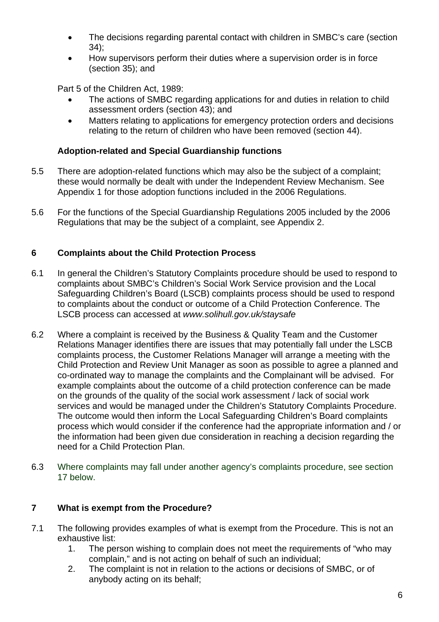- The decisions regarding parental contact with children in SMBC's care (section 34);
- How supervisors perform their duties where a supervision order is in force (section 35); and

Part 5 of the Children Act, 1989:

- The actions of SMBC regarding applications for and duties in relation to child assessment orders (section 43); and
- Matters relating to applications for emergency protection orders and decisions relating to the return of children who have been removed (section 44).

## **Adoption-related and Special Guardianship functions**

- 5.5 There are adoption-related functions which may also be the subject of a complaint; these would normally be dealt with under the Independent Review Mechanism. See Appendix 1 for those adoption functions included in the 2006 Regulations.
- 5.6 For the functions of the Special Guardianship Regulations 2005 included by the 2006 Regulations that may be the subject of a complaint, see Appendix 2.

## **6 Complaints about the Child Protection Process**

- 6.1 In general the Children's Statutory Complaints procedure should be used to respond to complaints about SMBC's Children's Social Work Service provision and the Local Safeguarding Children's Board (LSCB) complaints process should be used to respond to complaints about the conduct or outcome of a Child Protection Conference. The LSCB process can accessed at *www.solihull.gov.uk/staysafe*
- 6.2 Where a complaint is received by the Business & Quality Team and the Customer Relations Manager identifies there are issues that may potentially fall under the LSCB complaints process, the Customer Relations Manager will arrange a meeting with the Child Protection and Review Unit Manager as soon as possible to agree a planned and co-ordinated way to manage the complaints and the Complainant will be advised. For example complaints about the outcome of a child protection conference can be made on the grounds of the quality of the social work assessment / lack of social work services and would be managed under the Children's Statutory Complaints Procedure. The outcome would then inform the Local Safeguarding Children's Board complaints process which would consider if the conference had the appropriate information and / or the information had been given due consideration in reaching a decision regarding the need for a Child Protection Plan.
- 6.3 Where complaints may fall under another agency's complaints procedure, see section 17 below.

## **7 What is exempt from the Procedure?**

- 7.1 The following provides examples of what is exempt from the Procedure. This is not an exhaustive list:
	- 1. The person wishing to complain does not meet the requirements of "who may complain," and is not acting on behalf of such an individual;
	- 2. The complaint is not in relation to the actions or decisions of SMBC, or of anybody acting on its behalf;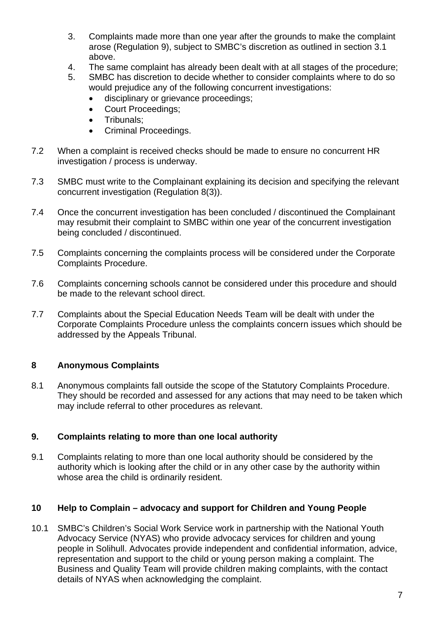- 3. Complaints made more than one year after the grounds to make the complaint arose (Regulation 9), subject to SMBC's discretion as outlined in section 3.1 above.
- 4. The same complaint has already been dealt with at all stages of the procedure;
- 5. SMBC has discretion to decide whether to consider complaints where to do so would prejudice any of the following concurrent investigations:
	- disciplinary or grievance proceedings;
	- Court Proceedings;
	- Tribunals:
	- Criminal Proceedings.
- 7.2 When a complaint is received checks should be made to ensure no concurrent HR investigation / process is underway.
- 7.3 SMBC must write to the Complainant explaining its decision and specifying the relevant concurrent investigation (Regulation 8(3)).
- 7.4 Once the concurrent investigation has been concluded / discontinued the Complainant may resubmit their complaint to SMBC within one year of the concurrent investigation being concluded / discontinued.
- 7.5 Complaints concerning the complaints process will be considered under the Corporate Complaints Procedure.
- 7.6 Complaints concerning schools cannot be considered under this procedure and should be made to the relevant school direct.
- 7.7 Complaints about the Special Education Needs Team will be dealt with under the Corporate Complaints Procedure unless the complaints concern issues which should be addressed by the Appeals Tribunal.

## **8 Anonymous Complaints**

8.1 Anonymous complaints fall outside the scope of the Statutory Complaints Procedure. They should be recorded and assessed for any actions that may need to be taken which may include referral to other procedures as relevant.

## **9. Complaints relating to more than one local authority**

9.1 Complaints relating to more than one local authority should be considered by the authority which is looking after the child or in any other case by the authority within whose area the child is ordinarily resident.

## **10 Help to Complain – advocacy and support for Children and Young People**

10.1 SMBC's Children's Social Work Service work in partnership with the National Youth Advocacy Service (NYAS) who provide advocacy services for children and young people in Solihull. Advocates provide independent and confidential information, advice, representation and support to the child or young person making a complaint. The Business and Quality Team will provide children making complaints, with the contact details of NYAS when acknowledging the complaint.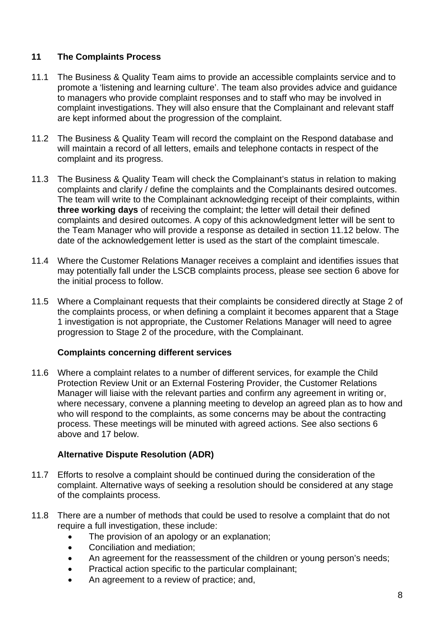## **11 The Complaints Process**

- 11.1 The Business & Quality Team aims to provide an accessible complaints service and to promote a 'listening and learning culture'. The team also provides advice and guidance to managers who provide complaint responses and to staff who may be involved in complaint investigations. They will also ensure that the Complainant and relevant staff are kept informed about the progression of the complaint.
- 11.2 The Business & Quality Team will record the complaint on the Respond database and will maintain a record of all letters, emails and telephone contacts in respect of the complaint and its progress.
- 11.3 The Business & Quality Team will check the Complainant's status in relation to making complaints and clarify / define the complaints and the Complainants desired outcomes. The team will write to the Complainant acknowledging receipt of their complaints, within **three working days** of receiving the complaint; the letter will detail their defined complaints and desired outcomes. A copy of this acknowledgment letter will be sent to the Team Manager who will provide a response as detailed in section 11.12 below. The date of the acknowledgement letter is used as the start of the complaint timescale.
- 11.4 Where the Customer Relations Manager receives a complaint and identifies issues that may potentially fall under the LSCB complaints process, please see section 6 above for the initial process to follow.
- 11.5 Where a Complainant requests that their complaints be considered directly at Stage 2 of the complaints process, or when defining a complaint it becomes apparent that a Stage 1 investigation is not appropriate, the Customer Relations Manager will need to agree progression to Stage 2 of the procedure, with the Complainant.

## **Complaints concerning different services**

11.6 Where a complaint relates to a number of different services, for example the Child Protection Review Unit or an External Fostering Provider, the Customer Relations Manager will liaise with the relevant parties and confirm any agreement in writing or, where necessary, convene a planning meeting to develop an agreed plan as to how and who will respond to the complaints, as some concerns may be about the contracting process. These meetings will be minuted with agreed actions. See also sections 6 above and 17 below.

## **Alternative Dispute Resolution (ADR)**

- 11.7 Efforts to resolve a complaint should be continued during the consideration of the complaint. Alternative ways of seeking a resolution should be considered at any stage of the complaints process.
- 11.8 There are a number of methods that could be used to resolve a complaint that do not require a full investigation, these include:
	- The provision of an apology or an explanation;
	- Conciliation and mediation;
	- An agreement for the reassessment of the children or young person's needs;
	- Practical action specific to the particular complainant;
	- An agreement to a review of practice; and,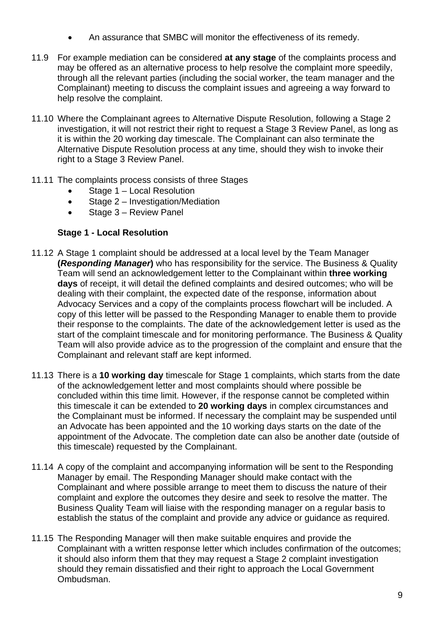- An assurance that SMBC will monitor the effectiveness of its remedy.
- 11.9 For example mediation can be considered **at any stage** of the complaints process and may be offered as an alternative process to help resolve the complaint more speedily, through all the relevant parties (including the social worker, the team manager and the Complainant) meeting to discuss the complaint issues and agreeing a way forward to help resolve the complaint.
- 11.10 Where the Complainant agrees to Alternative Dispute Resolution, following a Stage 2 investigation, it will not restrict their right to request a Stage 3 Review Panel, as long as it is within the 20 working day timescale. The Complainant can also terminate the Alternative Dispute Resolution process at any time, should they wish to invoke their right to a Stage 3 Review Panel.
- 11.11 The complaints process consists of three Stages
	- Stage 1 Local Resolution
	- Stage 2 Investigation/Mediation
	- Stage 3 Review Panel

#### **Stage 1 - Local Resolution**

- 11.12 A Stage 1 complaint should be addressed at a local level by the Team Manager **(***Responding Manager***)** who has responsibility for the service. The Business & Quality Team will send an acknowledgement letter to the Complainant within **three working days** of receipt, it will detail the defined complaints and desired outcomes; who will be dealing with their complaint, the expected date of the response, information about Advocacy Services and a copy of the complaints process flowchart will be included. A copy of this letter will be passed to the Responding Manager to enable them to provide their response to the complaints. The date of the acknowledgement letter is used as the start of the complaint timescale and for monitoring performance. The Business & Quality Team will also provide advice as to the progression of the complaint and ensure that the Complainant and relevant staff are kept informed.
- 11.13 There is a **10 working day** timescale for Stage 1 complaints, which starts from the date of the acknowledgement letter and most complaints should where possible be concluded within this time limit. However, if the response cannot be completed within this timescale it can be extended to **20 working days** in complex circumstances and the Complainant must be informed. If necessary the complaint may be suspended until an Advocate has been appointed and the 10 working days starts on the date of the appointment of the Advocate. The completion date can also be another date (outside of this timescale) requested by the Complainant.
- 11.14 A copy of the complaint and accompanying information will be sent to the Responding Manager by email. The Responding Manager should make contact with the Complainant and where possible arrange to meet them to discuss the nature of their complaint and explore the outcomes they desire and seek to resolve the matter. The Business Quality Team will liaise with the responding manager on a regular basis to establish the status of the complaint and provide any advice or guidance as required.
- 11.15 The Responding Manager will then make suitable enquires and provide the Complainant with a written response letter which includes confirmation of the outcomes; it should also inform them that they may request a Stage 2 complaint investigation should they remain dissatisfied and their right to approach the Local Government Ombudsman.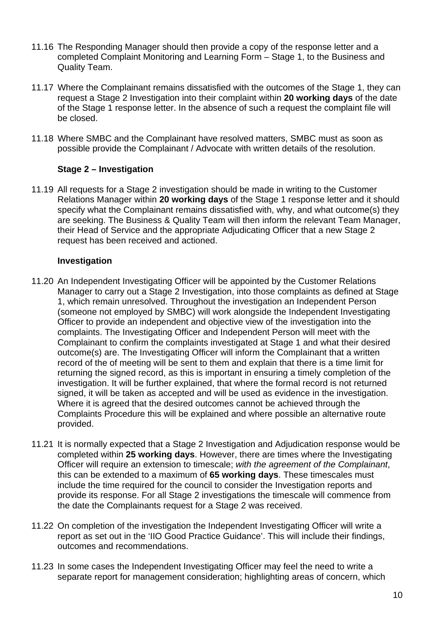- 11.16 The Responding Manager should then provide a copy of the response letter and a completed Complaint Monitoring and Learning Form – Stage 1, to the Business and Quality Team.
- 11.17 Where the Complainant remains dissatisfied with the outcomes of the Stage 1, they can request a Stage 2 Investigation into their complaint within **20 working days** of the date of the Stage 1 response letter. In the absence of such a request the complaint file will be closed.
- 11.18 Where SMBC and the Complainant have resolved matters, SMBC must as soon as possible provide the Complainant / Advocate with written details of the resolution.

## **Stage 2 – Investigation**

11.19 All requests for a Stage 2 investigation should be made in writing to the Customer Relations Manager within **20 working days** of the Stage 1 response letter and it should specify what the Complainant remains dissatisfied with, why, and what outcome(s) they are seeking. The Business & Quality Team will then inform the relevant Team Manager, their Head of Service and the appropriate Adjudicating Officer that a new Stage 2 request has been received and actioned.

## **Investigation**

- 11.20 An Independent Investigating Officer will be appointed by the Customer Relations Manager to carry out a Stage 2 Investigation, into those complaints as defined at Stage 1, which remain unresolved. Throughout the investigation an Independent Person (someone not employed by SMBC) will work alongside the Independent Investigating Officer to provide an independent and objective view of the investigation into the complaints. The Investigating Officer and Independent Person will meet with the Complainant to confirm the complaints investigated at Stage 1 and what their desired outcome(s) are. The Investigating Officer will inform the Complainant that a written record of the of meeting will be sent to them and explain that there is a time limit for returning the signed record, as this is important in ensuring a timely completion of the investigation. It will be further explained, that where the formal record is not returned signed, it will be taken as accepted and will be used as evidence in the investigation. Where it is agreed that the desired outcomes cannot be achieved through the Complaints Procedure this will be explained and where possible an alternative route provided.
- 11.21 It is normally expected that a Stage 2 Investigation and Adjudication response would be completed within **25 working days**. However, there are times where the Investigating Officer will require an extension to timescale; *with the agreement of the Complainant*, this can be extended to a maximum of **65 working days**. These timescales must include the time required for the council to consider the Investigation reports and provide its response. For all Stage 2 investigations the timescale will commence from the date the Complainants request for a Stage 2 was received.
- 11.22 On completion of the investigation the Independent Investigating Officer will write a report as set out in the 'IIO Good Practice Guidance'. This will include their findings, outcomes and recommendations.
- 11.23 In some cases the Independent Investigating Officer may feel the need to write a separate report for management consideration; highlighting areas of concern, which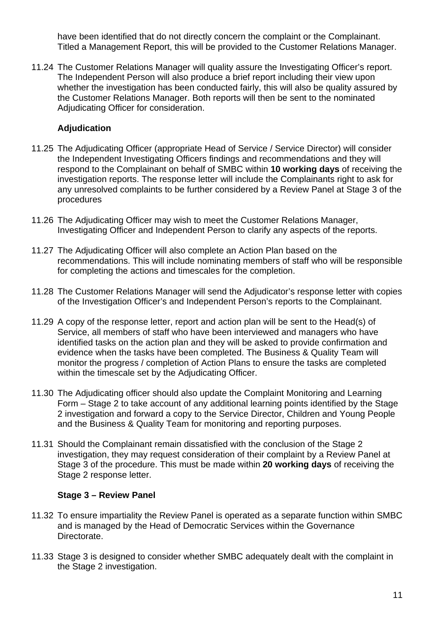have been identified that do not directly concern the complaint or the Complainant. Titled a Management Report, this will be provided to the Customer Relations Manager.

11.24 The Customer Relations Manager will quality assure the Investigating Officer's report. The Independent Person will also produce a brief report including their view upon whether the investigation has been conducted fairly, this will also be quality assured by the Customer Relations Manager. Both reports will then be sent to the nominated Adjudicating Officer for consideration.

## **Adjudication**

- 11.25 The Adjudicating Officer (appropriate Head of Service / Service Director) will consider the Independent Investigating Officers findings and recommendations and they will respond to the Complainant on behalf of SMBC within **10 working days** of receiving the investigation reports. The response letter will include the Complainants right to ask for any unresolved complaints to be further considered by a Review Panel at Stage 3 of the procedures
- 11.26 The Adjudicating Officer may wish to meet the Customer Relations Manager, Investigating Officer and Independent Person to clarify any aspects of the reports.
- 11.27 The Adjudicating Officer will also complete an Action Plan based on the recommendations. This will include nominating members of staff who will be responsible for completing the actions and timescales for the completion.
- 11.28 The Customer Relations Manager will send the Adjudicator's response letter with copies of the Investigation Officer's and Independent Person's reports to the Complainant.
- 11.29 A copy of the response letter, report and action plan will be sent to the Head(s) of Service, all members of staff who have been interviewed and managers who have identified tasks on the action plan and they will be asked to provide confirmation and evidence when the tasks have been completed. The Business & Quality Team will monitor the progress / completion of Action Plans to ensure the tasks are completed within the timescale set by the Adjudicating Officer.
- 11.30 The Adjudicating officer should also update the Complaint Monitoring and Learning Form – Stage 2 to take account of any additional learning points identified by the Stage 2 investigation and forward a copy to the Service Director, Children and Young People and the Business & Quality Team for monitoring and reporting purposes.
- 11.31 Should the Complainant remain dissatisfied with the conclusion of the Stage 2 investigation, they may request consideration of their complaint by a Review Panel at Stage 3 of the procedure. This must be made within **20 working days** of receiving the Stage 2 response letter.

#### **Stage 3 – Review Panel**

- 11.32 To ensure impartiality the Review Panel is operated as a separate function within SMBC and is managed by the Head of Democratic Services within the Governance Directorate.
- 11.33 Stage 3 is designed to consider whether SMBC adequately dealt with the complaint in the Stage 2 investigation.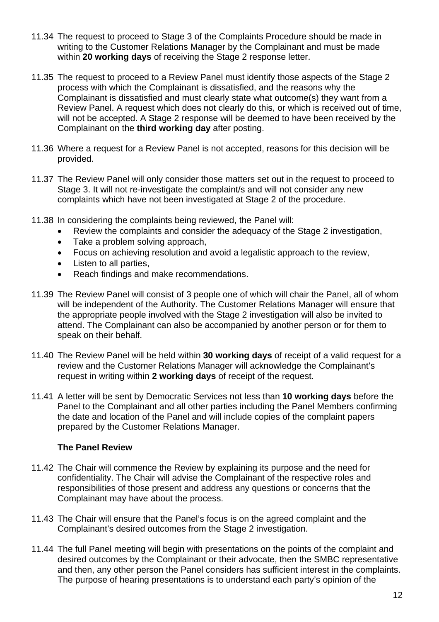- 11.34 The request to proceed to Stage 3 of the Complaints Procedure should be made in writing to the Customer Relations Manager by the Complainant and must be made within **20 working days** of receiving the Stage 2 response letter.
- 11.35 The request to proceed to a Review Panel must identify those aspects of the Stage 2 process with which the Complainant is dissatisfied, and the reasons why the Complainant is dissatisfied and must clearly state what outcome(s) they want from a Review Panel. A request which does not clearly do this, or which is received out of time, will not be accepted. A Stage 2 response will be deemed to have been received by the Complainant on the **third working day** after posting.
- 11.36 Where a request for a Review Panel is not accepted, reasons for this decision will be provided.
- 11.37 The Review Panel will only consider those matters set out in the request to proceed to Stage 3. It will not re-investigate the complaint/s and will not consider any new complaints which have not been investigated at Stage 2 of the procedure.
- 11.38 In considering the complaints being reviewed, the Panel will:
	- Review the complaints and consider the adequacy of the Stage 2 investigation,
	- Take a problem solving approach,
	- Focus on achieving resolution and avoid a legalistic approach to the review,
	- Listen to all parties,
	- Reach findings and make recommendations.
- 11.39 The Review Panel will consist of 3 people one of which will chair the Panel, all of whom will be independent of the Authority. The Customer Relations Manager will ensure that the appropriate people involved with the Stage 2 investigation will also be invited to attend. The Complainant can also be accompanied by another person or for them to speak on their behalf.
- 11.40 The Review Panel will be held within **30 working days** of receipt of a valid request for a review and the Customer Relations Manager will acknowledge the Complainant's request in writing within **2 working days** of receipt of the request.
- 11.41 A letter will be sent by Democratic Services not less than **10 working days** before the Panel to the Complainant and all other parties including the Panel Members confirming the date and location of the Panel and will include copies of the complaint papers prepared by the Customer Relations Manager.

## **The Panel Review**

- 11.42 The Chair will commence the Review by explaining its purpose and the need for confidentiality. The Chair will advise the Complainant of the respective roles and responsibilities of those present and address any questions or concerns that the Complainant may have about the process.
- 11.43 The Chair will ensure that the Panel's focus is on the agreed complaint and the Complainant's desired outcomes from the Stage 2 investigation.
- 11.44 The full Panel meeting will begin with presentations on the points of the complaint and desired outcomes by the Complainant or their advocate, then the SMBC representative and then, any other person the Panel considers has sufficient interest in the complaints. The purpose of hearing presentations is to understand each party's opinion of the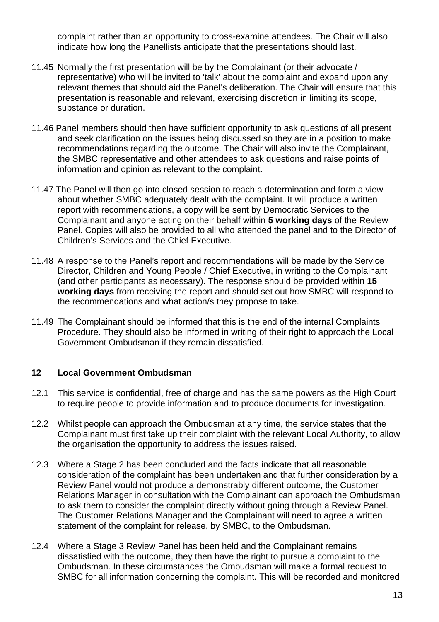complaint rather than an opportunity to cross-examine attendees. The Chair will also indicate how long the Panellists anticipate that the presentations should last.

- 11.45 Normally the first presentation will be by the Complainant (or their advocate / representative) who will be invited to 'talk' about the complaint and expand upon any relevant themes that should aid the Panel's deliberation. The Chair will ensure that this presentation is reasonable and relevant, exercising discretion in limiting its scope, substance or duration.
- 11.46 Panel members should then have sufficient opportunity to ask questions of all present and seek clarification on the issues being discussed so they are in a position to make recommendations regarding the outcome. The Chair will also invite the Complainant, the SMBC representative and other attendees to ask questions and raise points of information and opinion as relevant to the complaint.
- 11.47 The Panel will then go into closed session to reach a determination and form a view about whether SMBC adequately dealt with the complaint. It will produce a written report with recommendations, a copy will be sent by Democratic Services to the Complainant and anyone acting on their behalf within **5 working days** of the Review Panel. Copies will also be provided to all who attended the panel and to the Director of Children's Services and the Chief Executive.
- 11.48 A response to the Panel's report and recommendations will be made by the Service Director, Children and Young People / Chief Executive, in writing to the Complainant (and other participants as necessary). The response should be provided within **15 working days** from receiving the report and should set out how SMBC will respond to the recommendations and what action/s they propose to take.
- 11.49 The Complainant should be informed that this is the end of the internal Complaints Procedure. They should also be informed in writing of their right to approach the Local Government Ombudsman if they remain dissatisfied.

## **12 Local Government Ombudsman**

- 12.1 This service is confidential, free of charge and has the same powers as the High Court to require people to provide information and to produce documents for investigation.
- 12.2 Whilst people can approach the Ombudsman at any time, the service states that the Complainant must first take up their complaint with the relevant Local Authority, to allow the organisation the opportunity to address the issues raised.
- 12.3 Where a Stage 2 has been concluded and the facts indicate that all reasonable consideration of the complaint has been undertaken and that further consideration by a Review Panel would not produce a demonstrably different outcome, the Customer Relations Manager in consultation with the Complainant can approach the Ombudsman to ask them to consider the complaint directly without going through a Review Panel. The Customer Relations Manager and the Complainant will need to agree a written statement of the complaint for release, by SMBC, to the Ombudsman.
- 12.4 Where a Stage 3 Review Panel has been held and the Complainant remains dissatisfied with the outcome, they then have the right to pursue a complaint to the Ombudsman. In these circumstances the Ombudsman will make a formal request to SMBC for all information concerning the complaint. This will be recorded and monitored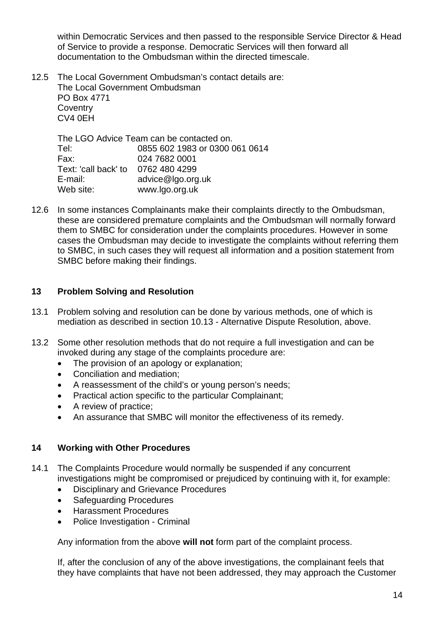within Democratic Services and then passed to the responsible Service Director & Head of Service to provide a response. Democratic Services will then forward all documentation to the Ombudsman within the directed timescale.

12.5 The Local Government Ombudsman's contact details are: The Local Government Ombudsman PO Box 4771 **Coventry** CV4 0EH

|                                    | The LGO Advice Team can be contacted on. |
|------------------------------------|------------------------------------------|
| Tel:                               | 0855 602 1983 or 0300 061 0614           |
| Fax:                               | 024 7682 0001                            |
| Text: 'call back' to 0762 480 4299 |                                          |
| E-mail:                            | advice@lgo.org.uk                        |
| Web site:                          | www.lgo.org.uk                           |

12.6 In some instances Complainants make their complaints directly to the Ombudsman, these are considered premature complaints and the Ombudsman will normally forward them to SMBC for consideration under the complaints procedures. However in some cases the Ombudsman may decide to investigate the complaints without referring them to SMBC, in such cases they will request all information and a position statement from SMBC before making their findings.

## **13 Problem Solving and Resolution**

- 13.1 Problem solving and resolution can be done by various methods, one of which is mediation as described in section 10.13 - Alternative Dispute Resolution, above.
- 13.2 Some other resolution methods that do not require a full investigation and can be invoked during any stage of the complaints procedure are:
	- The provision of an apology or explanation;
	- Conciliation and mediation;
	- A reassessment of the child's or young person's needs;
	- Practical action specific to the particular Complainant;
	- A review of practice;
	- An assurance that SMBC will monitor the effectiveness of its remedy.

## **14 Working with Other Procedures**

- 14.1 The Complaints Procedure would normally be suspended if any concurrent investigations might be compromised or prejudiced by continuing with it, for example:
	- Disciplinary and Grievance Procedures
	- Safeguarding Procedures
	- Harassment Procedures
	- Police Investigation Criminal

Any information from the above **will not** form part of the complaint process.

If, after the conclusion of any of the above investigations, the complainant feels that they have complaints that have not been addressed, they may approach the Customer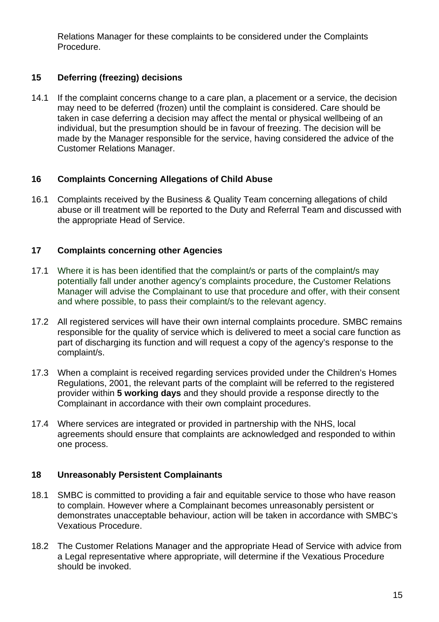Relations Manager for these complaints to be considered under the Complaints Procedure.

## **15 Deferring (freezing) decisions**

14.1 If the complaint concerns change to a care plan, a placement or a service, the decision may need to be deferred (frozen) until the complaint is considered. Care should be taken in case deferring a decision may affect the mental or physical wellbeing of an individual, but the presumption should be in favour of freezing. The decision will be made by the Manager responsible for the service, having considered the advice of the Customer Relations Manager.

## **16 Complaints Concerning Allegations of Child Abuse**

16.1 Complaints received by the Business & Quality Team concerning allegations of child abuse or ill treatment will be reported to the Duty and Referral Team and discussed with the appropriate Head of Service.

## **17 Complaints concerning other Agencies**

- 17.1 Where it is has been identified that the complaint/s or parts of the complaint/s may potentially fall under another agency's complaints procedure, the Customer Relations Manager will advise the Complainant to use that procedure and offer, with their consent and where possible, to pass their complaint/s to the relevant agency.
- 17.2 All registered services will have their own internal complaints procedure. SMBC remains responsible for the quality of service which is delivered to meet a social care function as part of discharging its function and will request a copy of the agency's response to the complaint/s.
- 17.3 When a complaint is received regarding services provided under the Children's Homes Regulations, 2001, the relevant parts of the complaint will be referred to the registered provider within **5 working days** and they should provide a response directly to the Complainant in accordance with their own complaint procedures.
- 17.4 Where services are integrated or provided in partnership with the NHS, local agreements should ensure that complaints are acknowledged and responded to within one process.

## **18 Unreasonably Persistent Complainants**

- 18.1 SMBC is committed to providing a fair and equitable service to those who have reason to complain. However where a Complainant becomes unreasonably persistent or demonstrates unacceptable behaviour, action will be taken in accordance with SMBC's Vexatious Procedure.
- 18.2 The Customer Relations Manager and the appropriate Head of Service with advice from a Legal representative where appropriate, will determine if the Vexatious Procedure should be invoked.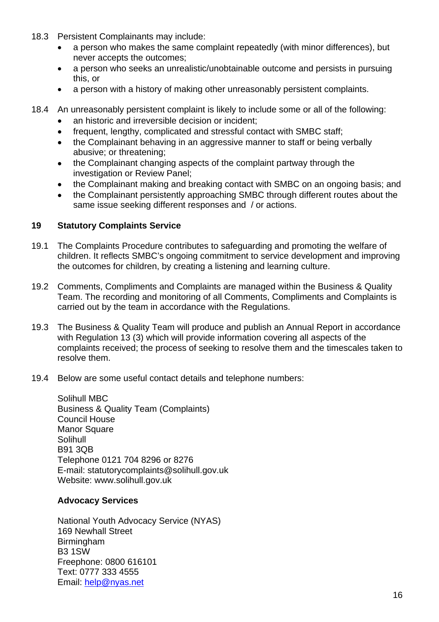- 18.3 Persistent Complainants may include:
	- a person who makes the same complaint repeatedly (with minor differences), but never accepts the outcomes;
	- a person who seeks an unrealistic/unobtainable outcome and persists in pursuing this, or
	- a person with a history of making other unreasonably persistent complaints.
- 18.4 An unreasonably persistent complaint is likely to include some or all of the following:
	- an historic and irreversible decision or incident;
	- frequent, lengthy, complicated and stressful contact with SMBC staff;
	- the Complainant behaving in an aggressive manner to staff or being verbally abusive; or threatening;
	- the Complainant changing aspects of the complaint partway through the investigation or Review Panel;
	- the Complainant making and breaking contact with SMBC on an ongoing basis; and
	- the Complainant persistently approaching SMBC through different routes about the same issue seeking different responses and / or actions.

#### **19 Statutory Complaints Service**

- 19.1 The Complaints Procedure contributes to safeguarding and promoting the welfare of children. It reflects SMBC's ongoing commitment to service development and improving the outcomes for children, by creating a listening and learning culture.
- 19.2 Comments, Compliments and Complaints are managed within the Business & Quality Team. The recording and monitoring of all Comments, Compliments and Complaints is carried out by the team in accordance with the Regulations.
- 19.3 The Business & Quality Team will produce and publish an Annual Report in accordance with Regulation 13 (3) which will provide information covering all aspects of the complaints received; the process of seeking to resolve them and the timescales taken to resolve them.
- 19.4 Below are some useful contact details and telephone numbers:

 Solihull MBC Business & Quality Team (Complaints) Council House Manor Square Solihull B91 3QB Telephone 0121 704 8296 or 8276 E-mail: statutorycomplaints@solihull.gov.uk Website: www.solihull.gov.uk

#### **Advocacy Services**

 National Youth Advocacy Service (NYAS) 169 Newhall Street Birmingham B3 1SW Freephone: 0800 616101 Text: 0777 333 4555 Email: help@nyas.net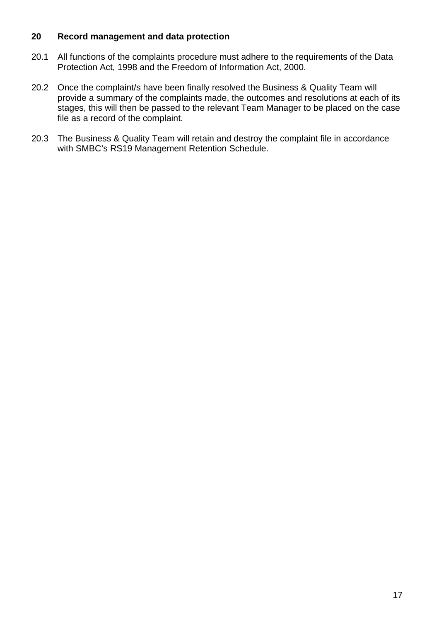#### **20 Record management and data protection**

- 20.1 All functions of the complaints procedure must adhere to the requirements of the Data Protection Act, 1998 and the Freedom of Information Act, 2000.
- 20.2 Once the complaint/s have been finally resolved the Business & Quality Team will provide a summary of the complaints made, the outcomes and resolutions at each of its stages, this will then be passed to the relevant Team Manager to be placed on the case file as a record of the complaint.
- 20.3 The Business & Quality Team will retain and destroy the complaint file in accordance with SMBC's RS19 Management Retention Schedule.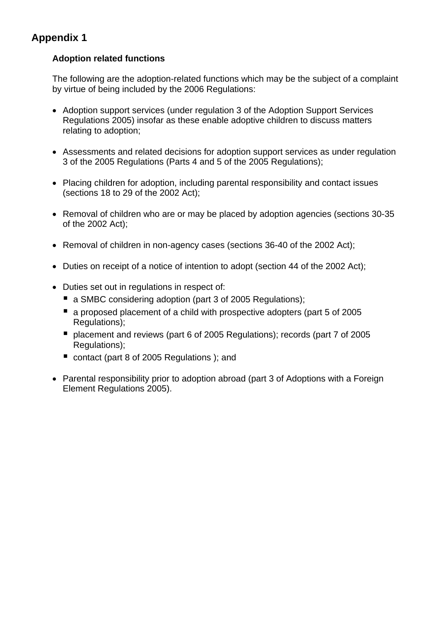# **Appendix 1**

## **Adoption related functions**

The following are the adoption-related functions which may be the subject of a complaint by virtue of being included by the 2006 Regulations:

- Adoption support services (under regulation 3 of the Adoption Support Services Regulations 2005) insofar as these enable adoptive children to discuss matters relating to adoption;
- Assessments and related decisions for adoption support services as under regulation 3 of the 2005 Regulations (Parts 4 and 5 of the 2005 Regulations);
- Placing children for adoption, including parental responsibility and contact issues (sections 18 to 29 of the 2002 Act);
- Removal of children who are or may be placed by adoption agencies (sections 30-35 of the 2002 Act);
- Removal of children in non-agency cases (sections 36-40 of the 2002 Act);
- Duties on receipt of a notice of intention to adopt (section 44 of the 2002 Act);
- Duties set out in regulations in respect of:
	- a SMBC considering adoption (part 3 of 2005 Regulations);
	- a proposed placement of a child with prospective adopters (part 5 of 2005 Regulations):
	- placement and reviews (part 6 of 2005 Regulations); records (part 7 of 2005 Regulations):
	- contact (part 8 of 2005 Regulations); and
- Parental responsibility prior to adoption abroad (part 3 of Adoptions with a Foreign Element Regulations 2005).